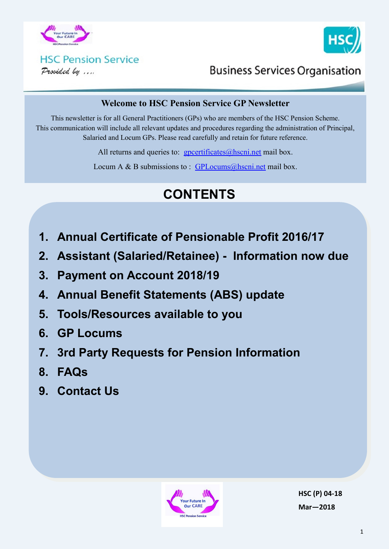



### **HSC Pension Service** Provided by ....

## **Business Services Organisation**

### **Welcome to HSC Pension Service GP Newsletter**

This newsletter is for all General Practitioners (GPs) who are members of the HSC Pension Scheme. This communication will include all relevant updates and procedures regarding the administration of Principal, Salaried and Locum GPs. Please read carefully and retain for future reference.

All returns and queries to:  $\frac{g}{g}$  poertificates (a) hscni.net mail box.

Locum A & B submissions to :  $GPLocums@hscni.net$  mail box.

# **CONTENTS**

- **1. Annual Certificate of Pensionable Profit 2016/17**
- **2. Assistant (Salaried/Retainee) - Information now due**
- **3. Payment on Account 2018/19**
- **4. Annual Benefit Statements (ABS) update**
- **5. Tools/Resources available to you**
- **6. GP Locums**
- **7. 3rd Party Requests for Pension Information**
- **8. FAQs**
- **9. Contact Us**



**HSC (P) 04-18 Mar—2018**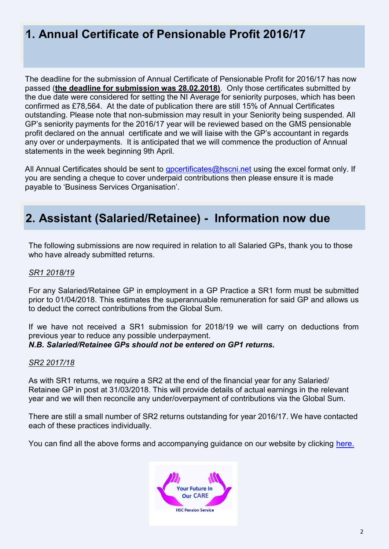### **1. Annual Certificate of Pensionable Profit 2016/17** .

The deadline for the submission of Annual Certificate of Pensionable Profit for 2016/17 has now passed (**the deadline for submission was 28.02.2018)**. Only those certificates submitted by the due date were considered for setting the NI Average for seniority purposes, which has been confirmed as £78,564. At the date of publication there are still 15% of Annual Certificates outstanding. Please note that non-submission may result in your Seniority being suspended. All GP's seniority payments for the 2016/17 year will be reviewed based on the GMS pensionable profit declared on the annual certificate and we will liaise with the GP's accountant in regards any over or underpayments. It is anticipated that we will commence the production of Annual statements in the week beginning 9th April.

All Annual Certificates should be sent to [gpcertificates@hscni.net](mailto:gpcertificates@hscni.net) using the excel format only. If you are sending a cheque to cover underpaid contributions then please ensure it is made payable to 'Business Services Organisation'.

### **2. Assistant (Salaried/Retainee) - Information now due**

The following submissions are now required in relation to all Salaried GPs, thank you to those who have already submitted returns.

#### *SR1 2018/19*

For any Salaried/Retainee GP in employment in a GP Practice a SR1 form must be submitted prior to 01/04/2018. This estimates the superannuable remuneration for said GP and allows us to deduct the correct contributions from the Global Sum.

If we have not received a SR1 submission for 2018/19 we will carry on deductions from previous year to reduce any possible underpayment. *N.B. Salaried/Retainee GPs should not be entered on GP1 returns.*

#### *SR2 2017/18*

As with SR1 returns, we require a SR2 at the end of the financial year for any Salaried/ Retainee GP in post at 31/03/2018. This will provide details of actual earnings in the relevant year and we will then reconcile any under/overpayment of contributions via the Global Sum.

There are still a small number of SR2 returns outstanding for year 2016/17. We have contacted each of these practices individually.

You can find all the above forms and accompanying guidance on our website by clicking [here.](http://www.hscpensions.hscni.net/practitioners/salaried-3/)

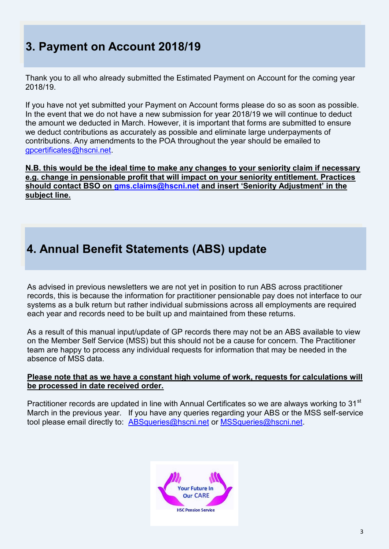# **3. Payment on Account 2018/19**

Thank you to all who already submitted the Estimated Payment on Account for the coming year 2018/19.

If you have not yet submitted your Payment on Account forms please do so as soon as possible. In the event that we do not have a new submission for year 2018/19 we will continue to deduct the amount we deducted in March. However, it is important that forms are submitted to ensure we deduct contributions as accurately as possible and eliminate large underpayments of contributions. Any amendments to the POA throughout the year should be emailed to [gpcertificates@hscni.net.](mailto:gpcertificates@hscni.net)

**N.B. this would be the ideal time to make any changes to your seniority claim if necessary e.g. change in pensionable profit that will impact on your seniority entitlement. Practices should contact BSO on [gms.claims@hscni.net](mailto:gms.claims@hscni.net) and insert 'Seniority Adjustment' in the subject line.**

## **4. Annual Benefit Statements (ABS) update**

As advised in previous newsletters we are not yet in position to run ABS across practitioner records, this is because the information for practitioner pensionable pay does not interface to our systems as a bulk return but rather individual submissions across all employments are required each year and records need to be built up and maintained from these returns.

As a result of this manual input/update of GP records there may not be an ABS available to view on the Member Self Service (MSS) but this should not be a cause for concern. The Practitioner team are happy to process any individual requests for information that may be needed in the absence of MSS data.

#### **Please note that as we have a constant high volume of work, requests for calculations will be processed in date received order.**

Practitioner records are updated in line with Annual Certificates so we are always working to 31<sup>st</sup> March in the previous year. If you have any queries regarding your ABS or the MSS self-service tool please email directly to: [ABSqueries@hscni.net](mailto:ABSqueries@hscni.net) or [MSSqueries@hscni.net.](mailto:MSSqueries@hscni.net)

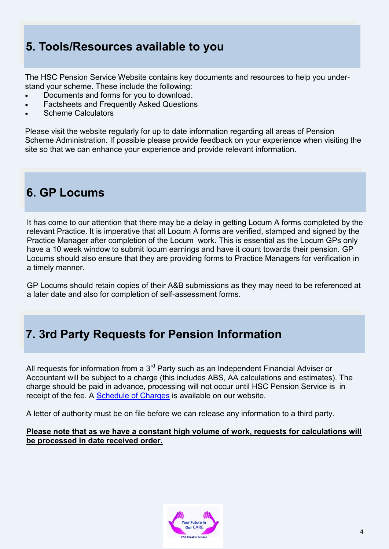## **5. Tools/Resources available to you**

The HSC Pension Service Website contains key documents and resources to help you understand your scheme. These include the following:

- Documents and forms for you to download.
- Factsheets and Frequently Asked Questions
- Scheme Calculators

Please visit the website regularly for up to date information regarding all areas of Pension Scheme Administration. If possible please provide feedback on your experience when visiting the site so that we can enhance your experience and provide relevant information.

### **6. GP Locums**

It has come to our attention that there may be a delay in getting Locum A forms completed by the relevant Practice. It is imperative that all Locum A forms are verified, stamped and signed by the Practice Manager after completion of the Locum work. This is essential as the Locum GPs only have a 10 week window to submit locum earnings and have it count towards their pension. GP Locums should also ensure that they are providing forms to Practice Managers for verification in a timely manner.

GP Locums should retain copies of their A&B submissions as they may need to be referenced at a later date and also for completion of self-assessment forms.

### **7. 3rd Party Requests for Pension Information**

All requests for information from a  $3<sup>rd</sup>$  Party such as an Independent Financial Adviser or Accountant will be subject to a charge (this includes ABS, AA calculations and estimates). The charge should be paid in advance, processing will not occur until HSC Pension Service is in receipt of the fee. A [Schedule of Charges](http://www.hscpensions.hscni.net/download/Scheme%20Forms/employer_forms/Schedule-of-Charges-Member.pdf) is available on our website.

A letter of authority must be on file before we can release any information to a third party.

#### **Please note that as we have a constant high volume of work, requests for calculations will be processed in date received order.**

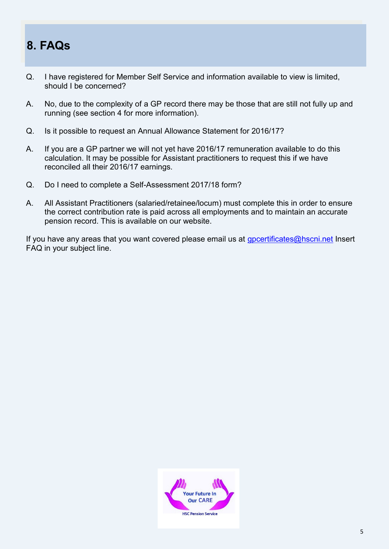# **8. FAQs**

- Q. I have registered for Member Self Service and information available to view is limited, should I be concerned?
- A. No, due to the complexity of a GP record there may be those that are still not fully up and running (see section 4 for more information).
- Q. Is it possible to request an Annual Allowance Statement for 2016/17?
- A. If you are a GP partner we will not yet have 2016/17 remuneration available to do this calculation. It may be possible for Assistant practitioners to request this if we have reconciled all their 2016/17 earnings.
- Q. Do I need to complete a Self-Assessment 2017/18 form?
- A. All Assistant Practitioners (salaried/retainee/locum) must complete this in order to ensure the correct contribution rate is paid across all employments and to maintain an accurate pension record. This is available on our website.

If you have any areas that you want covered please email us at [gpcertificates@hscni.net](mailto:gpcertificates@hscni.net) Insert FAQ in your subject line.